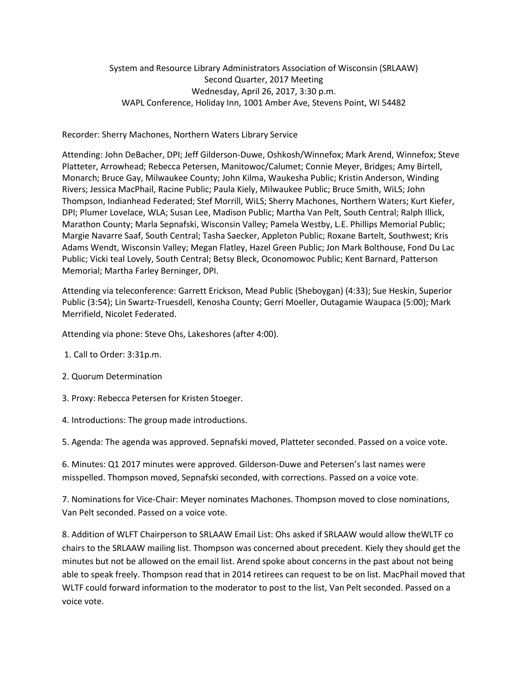## System and Resource Library Administrators Association of Wisconsin (SRLAAW) Second Quarter, 2017 Meeting Wednesday, April 26, 2017, 3:30 p.m. WAPL Conference, Holiday Inn, 1001 Amber Ave, Stevens Point, WI 54482

## Recorder: Sherry Machones, Northern Waters Library Service

Attending: John DeBacher, DPI; Jeff Gilderson-Duwe, Oshkosh/Winnefox; Mark Arend, Winnefox; Steve Platteter, Arrowhead; Rebecca Petersen, Manitowoc/Calumet; Connie Meyer, Bridges; Amy Birtell, Monarch; Bruce Gay, Milwaukee County; John Kilma, Waukesha Public; Kristin Anderson, Winding Rivers; Jessica MacPhail, Racine Public; Paula Kiely, Milwaukee Public; Bruce Smith, WiLS; John Thompson, Indianhead Federated; Stef Morrill, WiLS; Sherry Machones, Northern Waters; Kurt Kiefer, DPI; Plumer Lovelace, WLA; Susan Lee, Madison Public; Martha Van Pelt, South Central; Ralph Illick, Marathon County; Marla Sepnafski, Wisconsin Valley; Pamela Westby, L.E. Phillips Memorial Public; Margie Navarre Saaf, South Central; Tasha Saecker, Appleton Public; Roxane Bartelt, Southwest; Kris Adams Wendt, Wisconsin Valley; Megan Flatley, Hazel Green Public; Jon Mark Bolthouse, Fond Du Lac Public; Vicki teal Lovely, South Central; Betsy Bleck, Oconomowoc Public; Kent Barnard, Patterson Memorial; Martha Farley Berninger, DPI.

Attending via teleconference: Garrett Erickson, Mead Public (Sheboygan) (4:33); Sue Heskin, Superior Public (3:54); Lin Swartz-Truesdell, Kenosha County; Gerri Moeller, Outagamie Waupaca (5:00); Mark Merrifield, Nicolet Federated.

Attending via phone: Steve Ohs, Lakeshores (after 4:00).

- 1. Call to Order: 3:31p.m.
- 2. Quorum Determination
- 3. Proxy: Rebecca Petersen for Kristen Stoeger.
- 4. Introductions: The group made introductions.

5. Agenda: The agenda was approved. Sepnafski moved, Platteter seconded. Passed on a voice vote.

6. Minutes: Q1 2017 minutes were approved. Gilderson-Duwe and Petersen's last names were misspelled. Thompson moved, Sepnafski seconded, with corrections. Passed on a voice vote.

7. Nominations for Vice-Chair: Meyer nominates Machones. Thompson moved to close nominations, Van Pelt seconded. Passed on a voice vote.

8. Addition of WLFT Chairperson to SRLAAW Email List: Ohs asked if SRLAAW would allow theWLTF co chairs to the SRLAAW mailing list. Thompson was concerned about precedent. Kiely they should get the minutes but not be allowed on the email list. Arend spoke about concerns in the past about not being able to speak freely. Thompson read that in 2014 retirees can request to be on list. MacPhail moved that WLTF could forward information to the moderator to post to the list, Van Pelt seconded. Passed on a voice vote.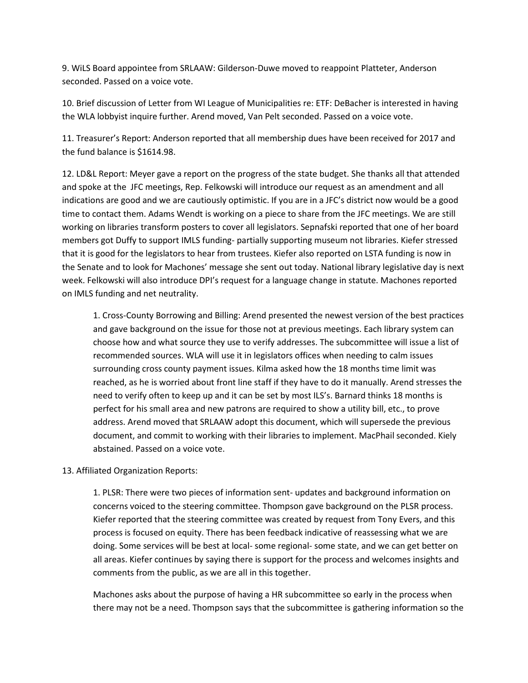9. WiLS Board appointee from SRLAAW: Gilderson-Duwe moved to reappoint Platteter, Anderson seconded. Passed on a voice vote.

10. Brief discussion of Letter from WI League of Municipalities re: ETF: DeBacher is interested in having the WLA lobbyist inquire further. Arend moved, Van Pelt seconded. Passed on a voice vote.

11. Treasurer's Report: Anderson reported that all membership dues have been received for 2017 and the fund balance is \$1614.98.

12. LD&L Report: Meyer gave a report on the progress of the state budget. She thanks all that attended and spoke at the JFC meetings, Rep. Felkowski will introduce our request as an amendment and all indications are good and we are cautiously optimistic. If you are in a JFC's district now would be a good time to contact them. Adams Wendt is working on a piece to share from the JFC meetings. We are still working on libraries transform posters to cover all legislators. Sepnafski reported that one of her board members got Duffy to support IMLS funding- partially supporting museum not libraries. Kiefer stressed that it is good for the legislators to hear from trustees. Kiefer also reported on LSTA funding is now in the Senate and to look for Machones' message she sent out today. National library legislative day is next week. Felkowski will also introduce DPI's request for a language change in statute. Machones reported on IMLS funding and net neutrality.

1. Cross-County Borrowing and Billing: Arend presented the newest version of the best practices and gave background on the issue for those not at previous meetings. Each library system can choose how and what source they use to verify addresses. The subcommittee will issue a list of recommended sources. WLA will use it in legislators offices when needing to calm issues surrounding cross county payment issues. Kilma asked how the 18 months time limit was reached, as he is worried about front line staff if they have to do it manually. Arend stresses the need to verify often to keep up and it can be set by most ILS's. Barnard thinks 18 months is perfect for his small area and new patrons are required to show a utility bill, etc., to prove address. Arend moved that SRLAAW adopt this document, which will supersede the previous document, and commit to working with their libraries to implement. MacPhail seconded. Kiely abstained. Passed on a voice vote.

## 13. Affiliated Organization Reports:

1. PLSR: There were two pieces of information sent- updates and background information on concerns voiced to the steering committee. Thompson gave background on the PLSR process. Kiefer reported that the steering committee was created by request from Tony Evers, and this process is focused on equity. There has been feedback indicative of reassessing what we are doing. Some services will be best at local- some regional- some state, and we can get better on all areas. Kiefer continues by saying there is support for the process and welcomes insights and comments from the public, as we are all in this together.

Machones asks about the purpose of having a HR subcommittee so early in the process when there may not be a need. Thompson says that the subcommittee is gathering information so the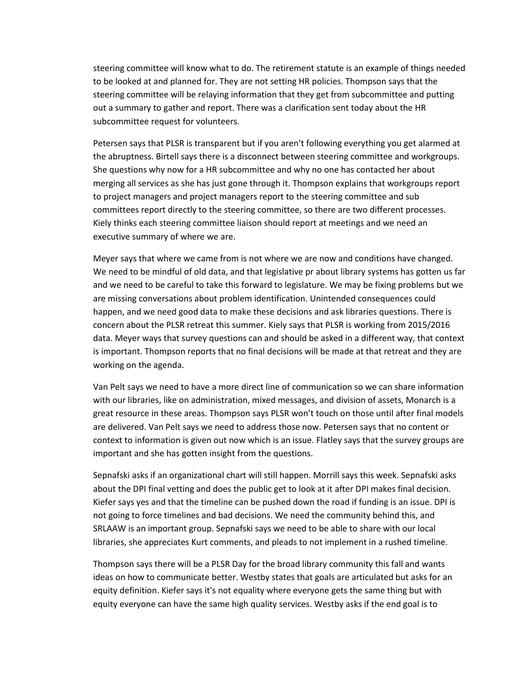steering committee will know what to do. The retirement statute is an example of things needed to be looked at and planned for. They are not setting HR policies. Thompson says that the steering committee will be relaying information that they get from subcommittee and putting out a summary to gather and report. There was a clarification sent today about the HR subcommittee request for volunteers.

Petersen says that PLSR is transparent but if you aren't following everything you get alarmed at the abruptness. Birtell says there is a disconnect between steering committee and workgroups. She questions why now for a HR subcommittee and why no one has contacted her about merging all services as she has just gone through it. Thompson explains that workgroups report to project managers and project managers report to the steering committee and sub committees report directly to the steering committee, so there are two different processes. Kiely thinks each steering committee liaison should report at meetings and we need an executive summary of where we are.

Meyer says that where we came from is not where we are now and conditions have changed. We need to be mindful of old data, and that legislative pr about library systems has gotten us far and we need to be careful to take this forward to legislature. We may be fixing problems but we are missing conversations about problem identification. Unintended consequences could happen, and we need good data to make these decisions and ask libraries questions. There is concern about the PLSR retreat this summer. Kiely says that PLSR is working from 2015/2016 data. Meyer ways that survey questions can and should be asked in a different way, that context is important. Thompson reports that no final decisions will be made at that retreat and they are working on the agenda.

Van Pelt says we need to have a more direct line of communication so we can share information with our libraries, like on administration, mixed messages, and division of assets, Monarch is a great resource in these areas. Thompson says PLSR won't touch on those until after final models are delivered. Van Pelt says we need to address those now. Petersen says that no content or context to information is given out now which is an issue. Flatley says that the survey groups are important and she has gotten insight from the questions.

Sepnafski asks if an organizational chart will still happen. Morrill says this week. Sepnafski asks about the DPI final vetting and does the public get to look at it after DPI makes final decision. Kiefer says yes and that the timeline can be pushed down the road if funding is an issue. DPI is not going to force timelines and bad decisions. We need the community behind this, and SRLAAW is an important group. Sepnafski says we need to be able to share with our local libraries, she appreciates Kurt comments, and pleads to not implement in a rushed timeline.

Thompson says there will be a PLSR Day for the broad library community this fall and wants ideas on how to communicate better. Westby states that goals are articulated but asks for an equity definition. Kiefer says it's not equality where everyone gets the same thing but with equity everyone can have the same high quality services. Westby asks if the end goal is to